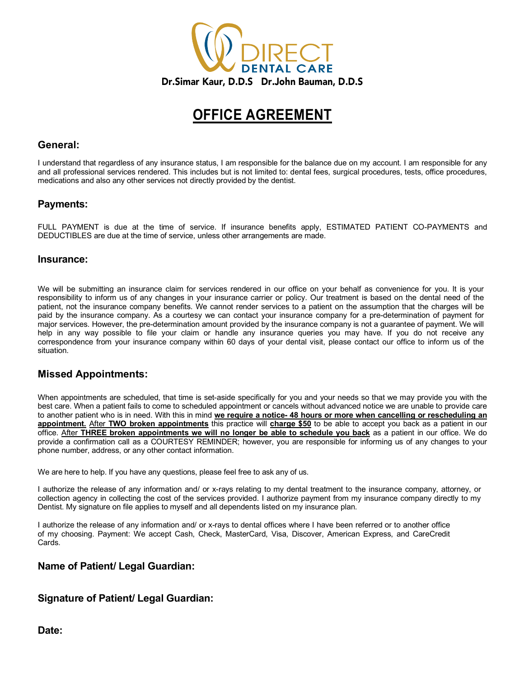

# **OFFICE AGREEMENT**

#### **General:**

I understand that regardless of any insurance status, I am responsible for the balance due on my account. I am responsible for any and all professional services rendered. This includes but is not limited to: dental fees, surgical procedures, tests, office procedures, medications and also any other services not directly provided by the dentist.

#### **Payments:**

FULL PAYMENT is due at the time of service. If insurance benefits apply, ESTIMATED PATIENT CO-PAYMENTS and DEDUCTIBLES are due at the time of service, unless other arrangements are made.

#### **Insurance:**

We will be submitting an insurance claim for services rendered in our office on your behalf as convenience for you. It is your responsibility to inform us of any changes in your insurance carrier or policy. Our treatment is based on the dental need of the patient, not the insurance company benefits. We cannot render services to a patient on the assumption that the charges will be paid by the insurance company. As a courtesy we can contact your insurance company for a pre-determination of payment for major services. However, the pre-determination amount provided by the insurance company is not a guarantee of payment. We will help in any way possible to file your claim or handle any insurance queries you may have. If you do not receive any correspondence from your insurance company within 60 days of your dental visit, please contact our office to inform us of the situation.

### **Missed Appointments:**

When appointments are scheduled, that time is set-aside specifically for you and your needs so that we may provide you with the best care. When a patient fails to come to scheduled appointment or cancels without advanced notice we are unable to provide care to another patient who is in need. With this in mind **we require a notice- 48 hours or more when cancelling or rescheduling an appointment.** After **TWO broken appointments** this practice will **charge \$50** to be able to accept you back as a patient in our office. After **THREE broken appointments we will no longer be able to schedule you back** as a patient in our office. We do provide a confirmation call as a COURTESY REMINDER; however, you are responsible for informing us of any changes to your phone number, address, or any other contact information.

We are here to help. If you have any questions, please feel free to ask any of us.

I authorize the release of any information and/ or x-rays relating to my dental treatment to the insurance company, attorney, or collection agency in collecting the cost of the services provided. I authorize payment from my insurance company directly to my Dentist. My signature on file applies to myself and all dependents listed on my insurance plan.

I authorize the release of any information and/ or x-rays to dental offices where I have been referred or to another office of my choosing. Payment: We accept Cash, Check, MasterCard, Visa, Discover, American Express, and CareCredit Cards.

#### **Name of Patient/ Legal Guardian:**

### **Signature of Patient/ Legal Guardian:**

**Date:**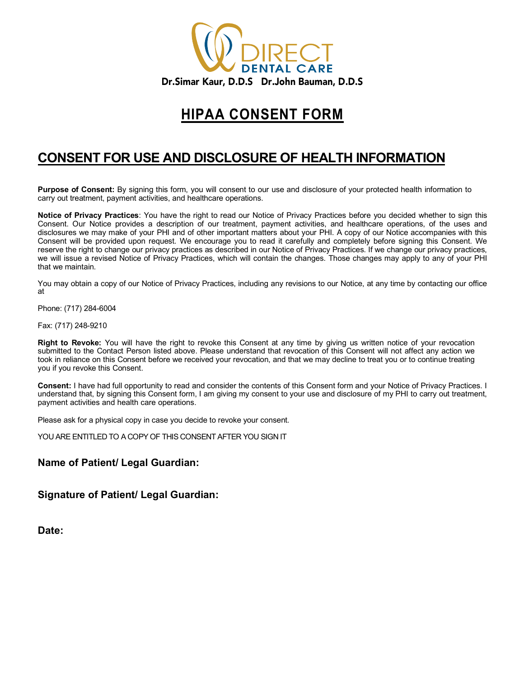

### **HIPAA CONSENT FORM**

### **CONSENT FOR USE AND DISCLOSURE OF HEALTH INFORMATION**

**Purpose of Consent:** By signing this form, you will consent to our use and disclosure of your protected health information to carry out treatment, payment activities, and healthcare operations.

**Notice of Privacy Practices**: You have the right to read our Notice of Privacy Practices before you decided whether to sign this Consent. Our Notice provides a description of our treatment, payment activities, and healthcare operations, of the uses and disclosures we may make of your PHI and of other important matters about your PHI. A copy of our Notice accompanies with this Consent will be provided upon request. We encourage you to read it carefully and completely before signing this Consent. We reserve the right to change our privacy practices as described in our Notice of Privacy Practices. If we change our privacy practices, we will issue a revised Notice of Privacy Practices, which will contain the changes. Those changes may apply to any of your PHI that we maintain.

You may obtain a copy of our Notice of Privacy Practices, including any revisions to our Notice, at any time by contacting our office at

Phone: (717) 284-6004

Fax: (717) 248-9210

**Right to Revoke:** You will have the right to revoke this Consent at any time by giving us written notice of your revocation submitted to the Contact Person listed above. Please understand that revocation of this Consent will not affect any action we took in reliance on this Consent before we received your revocation, and that we may decline to treat you or to continue treating you if you revoke this Consent.

**Consent:** I have had full opportunity to read and consider the contents of this Consent form and your Notice of Privacy Practices. I understand that, by signing this Consent form, I am giving my consent to your use and disclosure of my PHI to carry out treatment, payment activities and health care operations.

Please ask for a physical copy in case you decide to revoke your consent.

YOU ARE ENTITLED TO A COPY OF THIS CONSENT AFTER YOU SIGN IT

### **Name of Patient/ Legal Guardian:**

**Signature of Patient/ Legal Guardian:**

**Date:**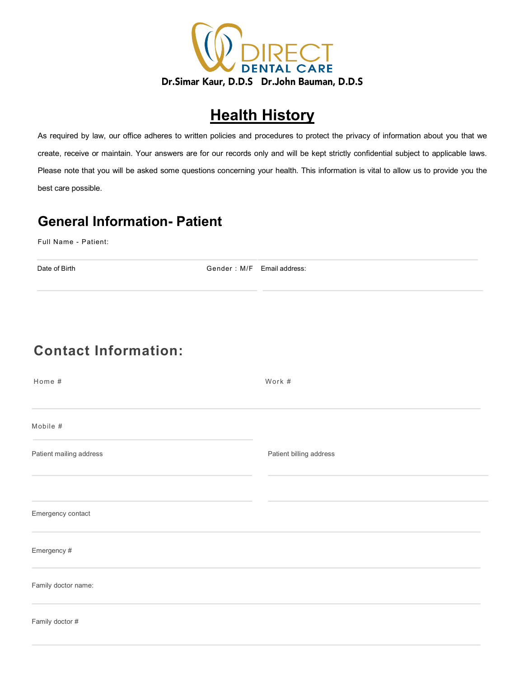

# **Health History**

As required by law, our office adheres to written policies and procedures to protect the privacy of information about you that we create, receive or maintain. Your answers are for our records only and will be kept strictly confidential subject to applicable laws. Please note that you will be asked some questions concerning your health. This information is vital to allow us to provide you the best care possible.

### **General Information- Patient**

Full Name - Patient:

Date of Birth Gender : M/F Email address:

# **Contact Information:**

| Home #                  | Work #                  |
|-------------------------|-------------------------|
|                         |                         |
| Mobile #                |                         |
| Patient mailing address | Patient billing address |
|                         |                         |
| Emergency contact       |                         |
| Emergency #             |                         |
| Family doctor name:     |                         |
| Family doctor #         |                         |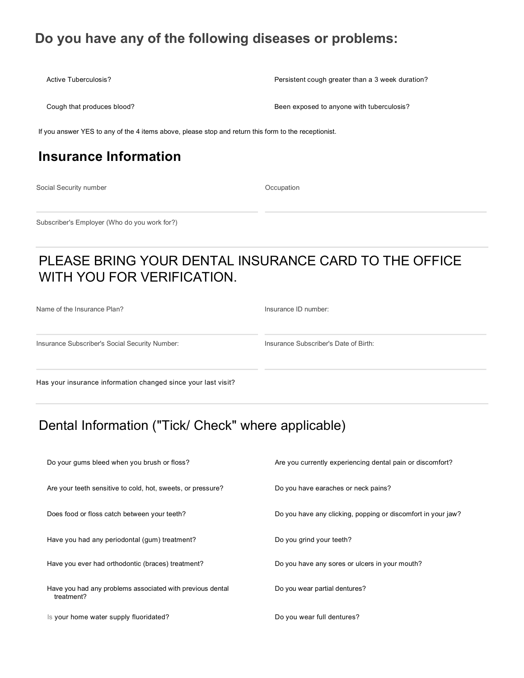### **Do you have any of the following diseases or problems:**

Active Tuberculosis? **Persistent cough greater than a 3 week duration? Persistent cough greater than a 3 week duration**?

Cough that produces blood? **Been exposed to anyone with tuberculosis? Been exposed to anyone with tuberculosis**?

If you answer YES to any of the 4 items above, please stop and return this form to the receptionist.

### **Insurance Information**

Social Security number

**Occupation** 

Subscriber's Employer (Who do you work for?)

### PLEASE BRING YOUR DENTAL INSURANCE CARD TO THE OFFICE WITH YOU FOR VERIFICATION.

Name of the Insurance Plan?

Insurance ID number:

Insurance Subscriber's Social Security Number:

Insurance Subscriber's Date of Birth:

Has your insurance information changed since your last visit?

### Dental Information ("Tick/ Check" where applicable)

| Do your gums bleed when you brush or floss?                             | Are you currently experiencing dental pain or discomfort?    |
|-------------------------------------------------------------------------|--------------------------------------------------------------|
| Are your teeth sensitive to cold, hot, sweets, or pressure?             | Do you have earaches or neck pains?                          |
| Does food or floss catch between your teeth?                            | Do you have any clicking, popping or discomfort in your jaw? |
| Have you had any periodontal (gum) treatment?                           | Do you grind your teeth?                                     |
| Have you ever had orthodontic (braces) treatment?                       | Do you have any sores or ulcers in your mouth?               |
| Have you had any problems associated with previous dental<br>treatment? | Do you wear partial dentures?                                |
| Is your home water supply fluoridated?                                  | Do you wear full dentures?                                   |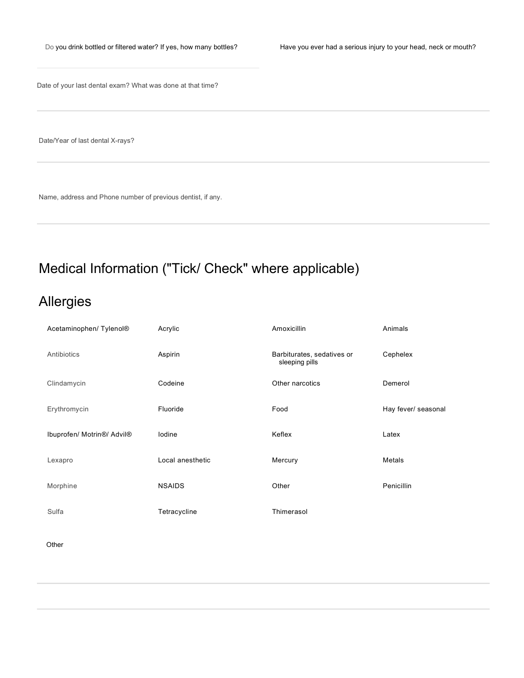Date of your last dental exam? What was done at that time?

Date/Year of last dental X-rays?

Name, address and Phone number of previous dentist, if any.

# Medical Information ("Tick/ Check" where applicable)

## Allergies

| Acetaminophen/ Tylenol®                             | Acrylic          | Amoxicillin                                  | Animals             |
|-----------------------------------------------------|------------------|----------------------------------------------|---------------------|
| Antibiotics                                         | Aspirin          | Barbiturates, sedatives or<br>sleeping pills | Cephelex            |
| Clindamycin                                         | Codeine          | Other narcotics                              | Demerol             |
| Erythromycin                                        | Fluoride         | Food                                         | Hay fever/ seasonal |
| Ibuprofen/ Motrin <sup>®</sup> / Advil <sup>®</sup> | lodine           | Keflex                                       | Latex               |
| Lexapro                                             | Local anesthetic | Mercury                                      | Metals              |
| Morphine                                            | <b>NSAIDS</b>    | Other                                        | Penicillin          |
| Sulfa                                               | Tetracycline     | Thimerasol                                   |                     |
| Other                                               |                  |                                              |                     |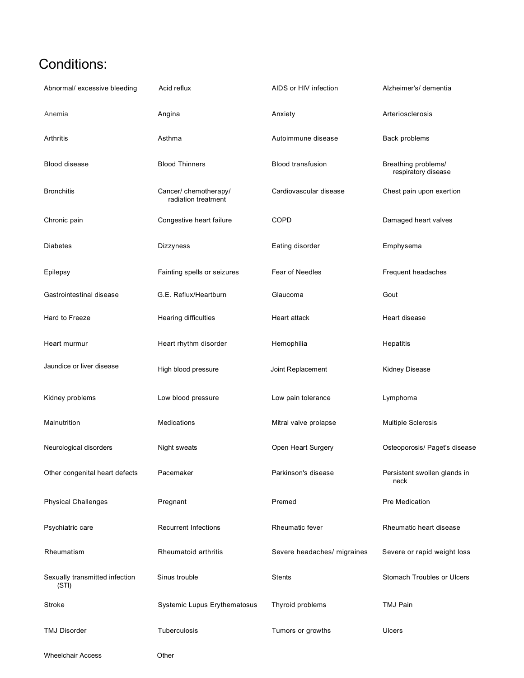# Conditions:

| Abnormal/ excessive bleeding            | Acid reflux                                  | AIDS or HIV infection       | Alzheimer's/ dementia                      |
|-----------------------------------------|----------------------------------------------|-----------------------------|--------------------------------------------|
| Anemia                                  | Angina                                       | Anxiety                     | Arteriosclerosis                           |
| Arthritis                               | Asthma                                       | Autoimmune disease          | Back problems                              |
| <b>Blood disease</b>                    | <b>Blood Thinners</b>                        | <b>Blood transfusion</b>    | Breathing problems/<br>respiratory disease |
| <b>Bronchitis</b>                       | Cancer/ chemotherapy/<br>radiation treatment | Cardiovascular disease      | Chest pain upon exertion                   |
| Chronic pain                            | Congestive heart failure                     | COPD                        | Damaged heart valves                       |
| <b>Diabetes</b>                         | Dizzyness                                    | Eating disorder             | Emphysema                                  |
| Epilepsy                                | Fainting spells or seizures                  | Fear of Needles             | Frequent headaches                         |
| Gastrointestinal disease                | G.E. Reflux/Heartburn                        | Glaucoma                    | Gout                                       |
| Hard to Freeze                          | Hearing difficulties                         | Heart attack                | Heart disease                              |
| Heart murmur                            | Heart rhythm disorder                        | Hemophilia                  | Hepatitis                                  |
| Jaundice or liver disease               | High blood pressure                          | Joint Replacement           | Kidney Disease                             |
| Kidney problems                         | Low blood pressure                           | Low pain tolerance          | Lymphoma                                   |
| Malnutrition                            | Medications                                  | Mitral valve prolapse       | <b>Multiple Sclerosis</b>                  |
| Neurological disorders                  | Night sweats                                 | Open Heart Surgery          | Osteoporosis/ Paget's disease              |
| Other congenital heart defects          | Pacemaker                                    | Parkinson's disease         | Persistent swollen glands in<br>neck       |
| <b>Physical Challenges</b>              | Pregnant                                     | Premed                      | <b>Pre Medication</b>                      |
| Psychiatric care                        | <b>Recurrent Infections</b>                  | Rheumatic fever             | Rheumatic heart disease                    |
| Rheumatism                              | Rheumatoid arthritis                         | Severe headaches/ migraines | Severe or rapid weight loss                |
| Sexually transmitted infection<br>(STI) | Sinus trouble                                | Stents                      | Stomach Troubles or Ulcers                 |
| Stroke                                  | Systemic Lupus Erythematosus                 | Thyroid problems            | <b>TMJ Pain</b>                            |
| <b>TMJ Disorder</b>                     | Tuberculosis                                 | Tumors or growths           | Ulcers                                     |
| <b>Wheelchair Access</b>                | Other                                        |                             |                                            |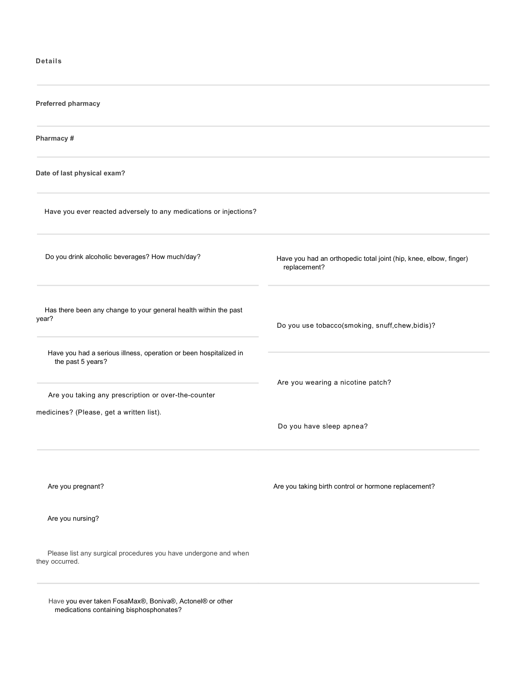#### **Details**

| Preferred pharmacy                                                                                                                                                                                                                                                     |                                                                                   |  |  |  |  |  |
|------------------------------------------------------------------------------------------------------------------------------------------------------------------------------------------------------------------------------------------------------------------------|-----------------------------------------------------------------------------------|--|--|--|--|--|
| Pharmacy #                                                                                                                                                                                                                                                             |                                                                                   |  |  |  |  |  |
| Date of last physical exam?                                                                                                                                                                                                                                            |                                                                                   |  |  |  |  |  |
| Have you ever reacted adversely to any medications or injections?                                                                                                                                                                                                      |                                                                                   |  |  |  |  |  |
| Do you drink alcoholic beverages? How much/day?                                                                                                                                                                                                                        | Have you had an orthopedic total joint (hip, knee, elbow, finger)<br>replacement? |  |  |  |  |  |
| Has there been any change to your general health within the past<br>year?<br>Have you had a serious illness, operation or been hospitalized in<br>the past 5 years?<br>Are you taking any prescription or over-the-counter<br>medicines? (Please, get a written list). | Do you use tobacco(smoking, snuff,chew,bidis)?                                    |  |  |  |  |  |
|                                                                                                                                                                                                                                                                        | Are you wearing a nicotine patch?                                                 |  |  |  |  |  |
|                                                                                                                                                                                                                                                                        | Do you have sleep apnea?                                                          |  |  |  |  |  |
| Are you pregnant?                                                                                                                                                                                                                                                      | Are you taking birth control or hormone replacement?                              |  |  |  |  |  |
| Are you nursing?                                                                                                                                                                                                                                                       |                                                                                   |  |  |  |  |  |
| Please list any surgical procedures you have undergone and when<br>they occurred.                                                                                                                                                                                      |                                                                                   |  |  |  |  |  |

 Have you ever taken FosaMax®, Boniva®, Actonel® or other medications containing bisphosphonates?